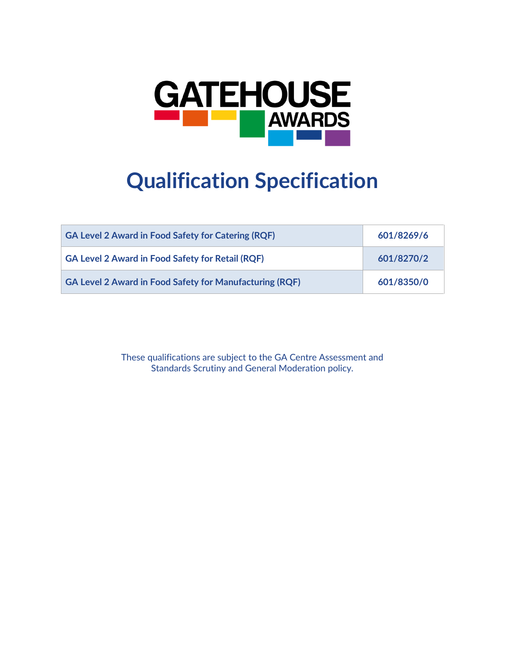

# **Qualification Specification**

| <b>GA Level 2 Award in Food Safety for Catering (RQF)</b>      | 601/8269/6 |
|----------------------------------------------------------------|------------|
| <b>GA Level 2 Award in Food Safety for Retail (RQF)</b>        | 601/8270/2 |
| <b>GA Level 2 Award in Food Safety for Manufacturing (RQF)</b> | 601/8350/0 |

These qualifications are subject to the GA Centre Assessment and Standards Scrutiny and General Moderation policy.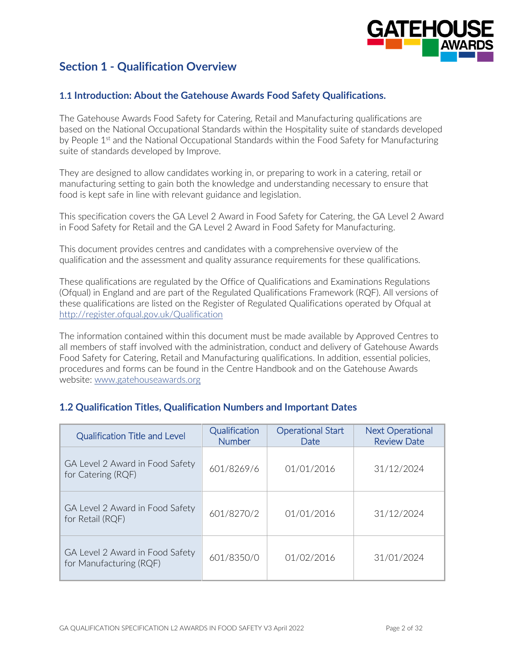

# **Section 1 - Qualification Overview**

#### **1.1 Introduction: About the Gatehouse Awards Food Safety Qualifications.**

The Gatehouse Awards Food Safety for Catering, Retail and Manufacturing qualifications are based on the National Occupational Standards within the Hospitality suite of standards developed by People  $1<sup>st</sup>$  and the National Occupational Standards within the Food Safety for Manufacturing suite of standards developed by Improve.

They are designed to allow candidates working in, or preparing to work in a catering, retail or manufacturing setting to gain both the knowledge and understanding necessary to ensure that food is kept safe in line with relevant guidance and legislation.

This specification covers the GA Level 2 Award in Food Safety for Catering, the GA Level 2 Award in Food Safety for Retail and the GA Level 2 Award in Food Safety for Manufacturing.

This document provides centres and candidates with a comprehensive overview of the qualification and the assessment and quality assurance requirements for these qualifications.

These qualifications are regulated by the Office of Qualifications and Examinations Regulations (Ofqual) in England and are part of the Regulated Qualifications Framework (RQF). All versions of these qualifications are listed on the Register of Regulated Qualifications operated by Ofqual at <http://register.ofqual.gov.uk/Qualification>

The information contained within this document must be made available by Approved Centres to all members of staff involved with the administration, conduct and delivery of Gatehouse Awards Food Safety for Catering, Retail and Manufacturing qualifications. In addition, essential policies, procedures and forms can be found in the Centre Handbook and on the Gatehouse Awards website: [www.gatehouseawards.org](http://www.gatehouseawards.org/)

| <b>Qualification Title and Level</b>                       | Qualification<br><b>Number</b> | <b>Operational Start</b><br>Date | <b>Next Operational</b><br><b>Review Date</b> |
|------------------------------------------------------------|--------------------------------|----------------------------------|-----------------------------------------------|
| GA Level 2 Award in Food Safety<br>for Catering (RQF)      | 601/8269/6                     | 01/01/2016                       | 31/12/2024                                    |
| GA Level 2 Award in Food Safety<br>for Retail (RQF)        | 601/8270/2                     | 01/01/2016                       | 31/12/2024                                    |
| GA Level 2 Award in Food Safety<br>for Manufacturing (RQF) | 601/8350/0                     | 01/02/2016                       | 31/01/2024                                    |

## **1.2 Qualification Titles, Qualification Numbers and Important Dates**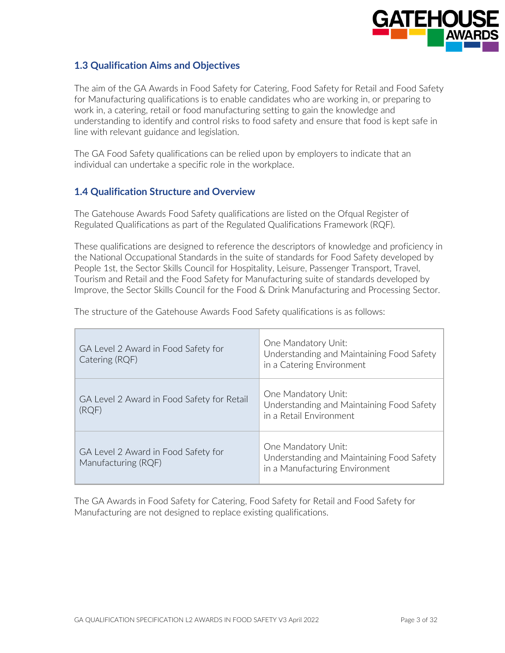

## **1.3 Qualification Aims and Objectives**

The aim of the GA Awards in Food Safety for Catering, Food Safety for Retail and Food Safety for Manufacturing qualifications is to enable candidates who are working in, or preparing to work in, a catering, retail or food manufacturing setting to gain the knowledge and understanding to identify and control risks to food safety and ensure that food is kept safe in line with relevant guidance and legislation.

The GA Food Safety qualifications can be relied upon by employers to indicate that an individual can undertake a specific role in the workplace.

## **1.4 Qualification Structure and Overview**

The Gatehouse Awards Food Safety qualifications are listed on the Ofqual Register of Regulated Qualifications as part of the Regulated Qualifications Framework (RQF).

These qualifications are designed to reference the descriptors of knowledge and proficiency in the National Occupational Standards in the suite of standards for Food Safety developed by People 1st, the Sector Skills Council for Hospitality, Leisure, Passenger Transport, Travel, Tourism and Retail and the Food Safety for Manufacturing suite of standards developed by Improve, the Sector Skills Council for the Food & Drink Manufacturing and Processing Sector.

| GA Level 2 Award in Food Safety for<br>Catering (RQF)      | One Mandatory Unit:<br>Understanding and Maintaining Food Safety<br>in a Catering Environment      |
|------------------------------------------------------------|----------------------------------------------------------------------------------------------------|
| GA Level 2 Award in Food Safety for Retail<br>(RQF)        | One Mandatory Unit:<br>Understanding and Maintaining Food Safety<br>in a Retail Environment        |
| GA Level 2 Award in Food Safety for<br>Manufacturing (RQF) | One Mandatory Unit:<br>Understanding and Maintaining Food Safety<br>in a Manufacturing Environment |

The structure of the Gatehouse Awards Food Safety qualifications is as follows:

The GA Awards in Food Safety for Catering, Food Safety for Retail and Food Safety for Manufacturing are not designed to replace existing qualifications.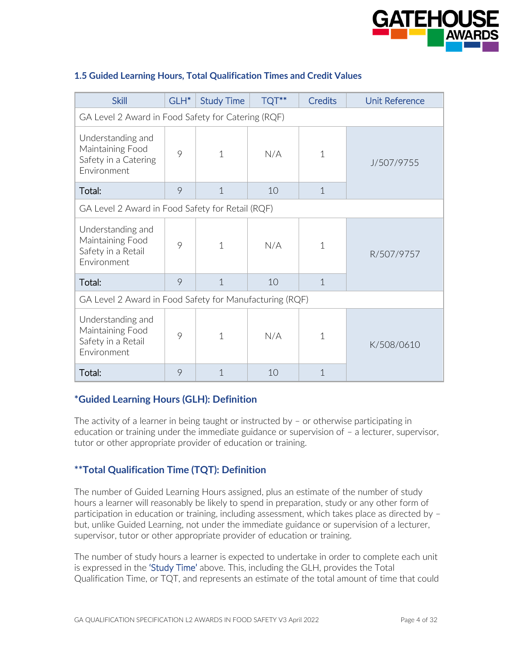

| <b>Skill</b>                                                                 | GLH <sup>*</sup> | <b>Study Time</b> | TQT** | <b>Credits</b> | <b>Unit Reference</b> |  |  |
|------------------------------------------------------------------------------|------------------|-------------------|-------|----------------|-----------------------|--|--|
| GA Level 2 Award in Food Safety for Catering (RQF)                           |                  |                   |       |                |                       |  |  |
| Understanding and<br>Maintaining Food<br>Safety in a Catering<br>Environment | 9                | $\mathbf{1}$      | N/A   | 1              | J/507/9755            |  |  |
| Total:                                                                       | 9                | $\mathbf 1$       | 10    | $\mathbf{1}$   |                       |  |  |
| GA Level 2 Award in Food Safety for Retail (RQF)                             |                  |                   |       |                |                       |  |  |
| Understanding and<br>Maintaining Food<br>Safety in a Retail<br>Environment   | 9                | $\mathbf{1}$      | N/A   | $\mathbf{1}$   | R/507/9757            |  |  |
| Total:                                                                       | 9                | $\mathbf{1}$      | 10    | $\mathbf{1}$   |                       |  |  |
| GA Level 2 Award in Food Safety for Manufacturing (RQF)                      |                  |                   |       |                |                       |  |  |
| Understanding and<br>Maintaining Food<br>Safety in a Retail<br>Environment   | 9                | $\mathbf{1}$      | N/A   | $\mathbf{1}$   | K/508/0610            |  |  |
| Total:                                                                       | 9                | 1                 | 10    | $\mathbf 1$    |                       |  |  |

#### **1.5 Guided Learning Hours, Total Qualification Times and Credit Values**

#### **\*Guided Learning Hours (GLH): Definition**

The activity of a learner in being taught or instructed by – or otherwise participating in education or training under the immediate guidance or supervision of – a lecturer, supervisor, tutor or other appropriate provider of education or training.

#### **\*\*Total Qualification Time (TQT): Definition**

The number of Guided Learning Hours assigned, plus an estimate of the number of study hours a learner will reasonably be likely to spend in preparation, study or any other form of participation in education or training, including assessment, which takes place as directed by – but, unlike Guided Learning, not under the immediate guidance or supervision of a lecturer, supervisor, tutor or other appropriate provider of education or training.

The number of study hours a learner is expected to undertake in order to complete each unit is expressed in the 'Study Time' above. This, including the GLH, provides the Total Qualification Time, or TQT, and represents an estimate of the total amount of time that could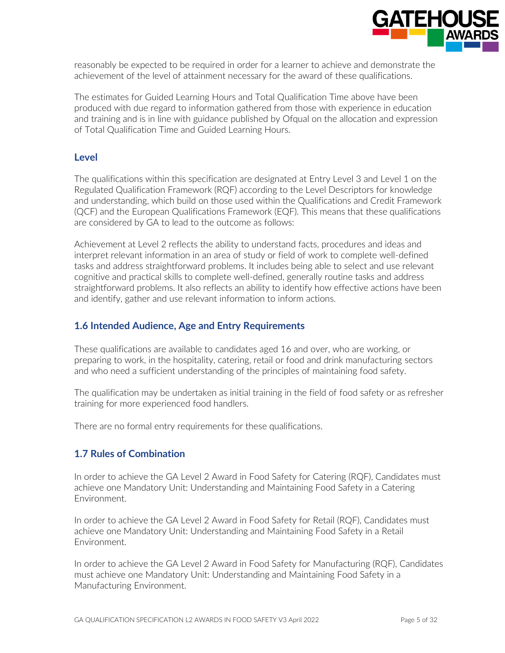

reasonably be expected to be required in order for a learner to achieve and demonstrate the achievement of the level of attainment necessary for the award of these qualifications.

The estimates for Guided Learning Hours and Total Qualification Time above have been produced with due regard to information gathered from those with experience in education and training and is in line with guidance published by Ofqual on the allocation and expression of Total Qualification Time and Guided Learning Hours.

#### **Level**

The qualifications within this specification are designated at Entry Level 3 and Level 1 on the Regulated Qualification Framework (RQF) according to the Level Descriptors for knowledge and understanding, which build on those used within the Qualifications and Credit Framework (QCF) and the European Qualifications Framework (EQF). This means that these qualifications are considered by GA to lead to the outcome as follows:

Achievement at Level 2 reflects the ability to understand facts, procedures and ideas and interpret relevant information in an area of study or field of work to complete well-defined tasks and address straightforward problems. It includes being able to select and use relevant cognitive and practical skills to complete well-defined, generally routine tasks and address straightforward problems. It also reflects an ability to identify how effective actions have been and identify, gather and use relevant information to inform actions.

## **1.6 Intended Audience, Age and Entry Requirements**

These qualifications are available to candidates aged 16 and over, who are working, or preparing to work, in the hospitality, catering, retail or food and drink manufacturing sectors and who need a sufficient understanding of the principles of maintaining food safety.

The qualification may be undertaken as initial training in the field of food safety or as refresher training for more experienced food handlers.

There are no formal entry requirements for these qualifications.

#### **1.7 Rules of Combination**

In order to achieve the GA Level 2 Award in Food Safety for Catering (RQF), Candidates must achieve one Mandatory Unit: Understanding and Maintaining Food Safety in a Catering Environment.

In order to achieve the GA Level 2 Award in Food Safety for Retail (RQF), Candidates must achieve one Mandatory Unit: Understanding and Maintaining Food Safety in a Retail Environment.

In order to achieve the GA Level 2 Award in Food Safety for Manufacturing (RQF), Candidates must achieve one Mandatory Unit: Understanding and Maintaining Food Safety in a Manufacturing Environment.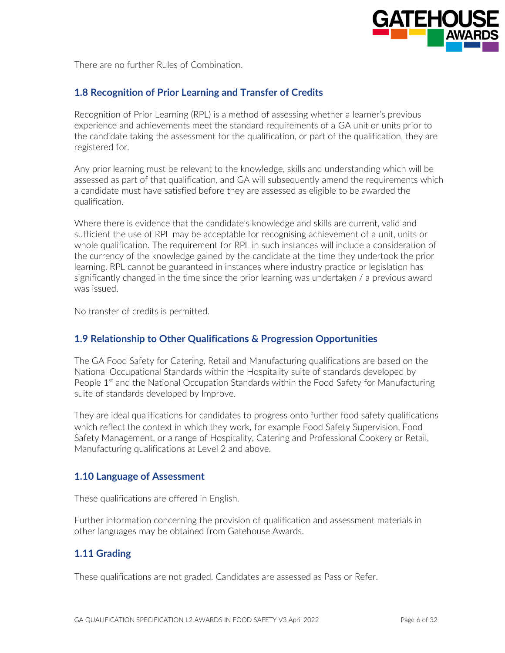

There are no further Rules of Combination.

#### **1.8 Recognition of Prior Learning and Transfer of Credits**

Recognition of Prior Learning (RPL) is a method of assessing whether a learner's previous experience and achievements meet the standard requirements of a GA unit or units prior to the candidate taking the assessment for the qualification, or part of the qualification, they are registered for.

Any prior learning must be relevant to the knowledge, skills and understanding which will be assessed as part of that qualification, and GA will subsequently amend the requirements which a candidate must have satisfied before they are assessed as eligible to be awarded the qualification.

Where there is evidence that the candidate's knowledge and skills are current, valid and sufficient the use of RPL may be acceptable for recognising achievement of a unit, units or whole qualification. The requirement for RPL in such instances will include a consideration of the currency of the knowledge gained by the candidate at the time they undertook the prior learning. RPL cannot be guaranteed in instances where industry practice or legislation has significantly changed in the time since the prior learning was undertaken / a previous award was issued.

No transfer of credits is permitted.

#### **1.9 Relationship to Other Qualifications & Progression Opportunities**

The GA Food Safety for Catering, Retail and Manufacturing qualifications are based on the National Occupational Standards within the Hospitality suite of standards developed by People 1<sup>st</sup> and the National Occupation Standards within the Food Safety for Manufacturing suite of standards developed by Improve.

They are ideal qualifications for candidates to progress onto further food safety qualifications which reflect the context in which they work, for example Food Safety Supervision, Food Safety Management, or a range of Hospitality, Catering and Professional Cookery or Retail, Manufacturing qualifications at Level 2 and above.

#### **1.10 Language of Assessment**

These qualifications are offered in English.

Further information concerning the provision of qualification and assessment materials in other languages may be obtained from Gatehouse Awards.

#### **1.11 Grading**

These qualifications are not graded. Candidates are assessed as Pass or Refer.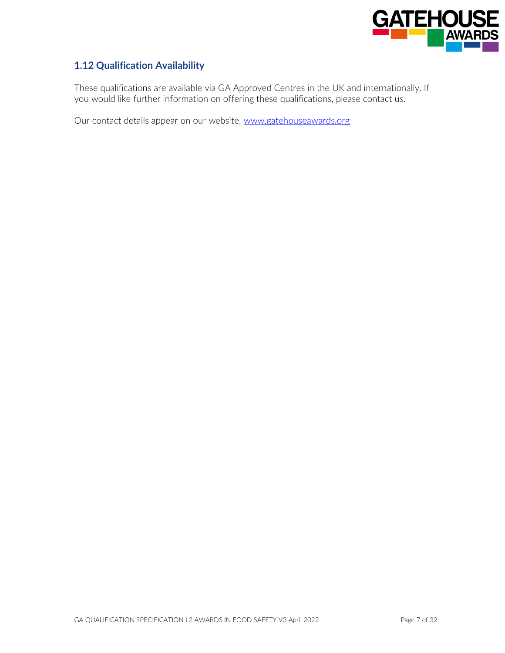

## **1.12 Qualification Availability**

These qualifications are available via GA Approved Centres in the UK and internationally. If you would like further information on offering these qualifications, please contact us.

Our contact details appear on our website, [www.gatehouseawards.org](http://www.gatehouseawards.org/)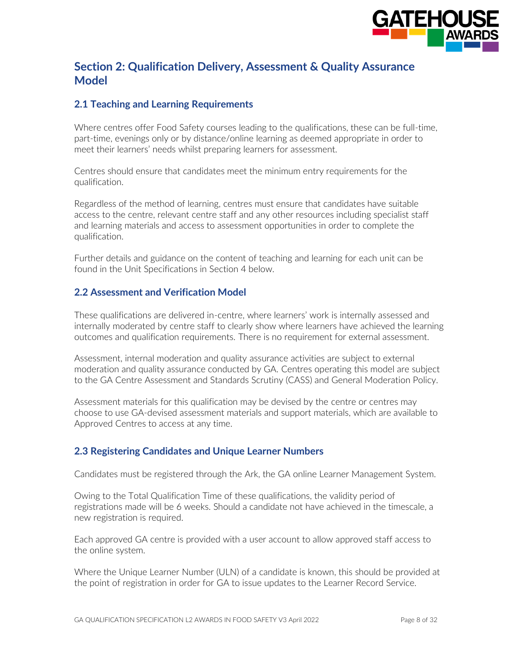

## **Section 2: Qualification Delivery, Assessment & Quality Assurance Model**

## **2.1 Teaching and Learning Requirements**

Where centres offer Food Safety courses leading to the qualifications, these can be full-time, part-time, evenings only or by distance/online learning as deemed appropriate in order to meet their learners' needs whilst preparing learners for assessment.

Centres should ensure that candidates meet the minimum entry requirements for the qualification.

Regardless of the method of learning, centres must ensure that candidates have suitable access to the centre, relevant centre staff and any other resources including specialist staff and learning materials and access to assessment opportunities in order to complete the qualification.

Further details and guidance on the content of teaching and learning for each unit can be found in the Unit Specifications in Section 4 below.

#### **2.2 Assessment and Verification Model**

These qualifications are delivered in-centre, where learners' work is internally assessed and internally moderated by centre staff to clearly show where learners have achieved the learning outcomes and qualification requirements. There is no requirement for external assessment.

Assessment, internal moderation and quality assurance activities are subject to external moderation and quality assurance conducted by GA. Centres operating this model are subject to the GA Centre Assessment and Standards Scrutiny (CASS) and General Moderation Policy.

Assessment materials for this qualification may be devised by the centre or centres may choose to use GA-devised assessment materials and support materials, which are available to Approved Centres to access at any time.

#### **2.3 Registering Candidates and Unique Learner Numbers**

Candidates must be registered through the Ark, the GA online Learner Management System.

Owing to the Total Qualification Time of these qualifications, the validity period of registrations made will be 6 weeks. Should a candidate not have achieved in the timescale, a new registration is required.

Each approved GA centre is provided with a user account to allow approved staff access to the online system.

Where the Unique Learner Number (ULN) of a candidate is known, this should be provided at the point of registration in order for GA to issue updates to the Learner Record Service.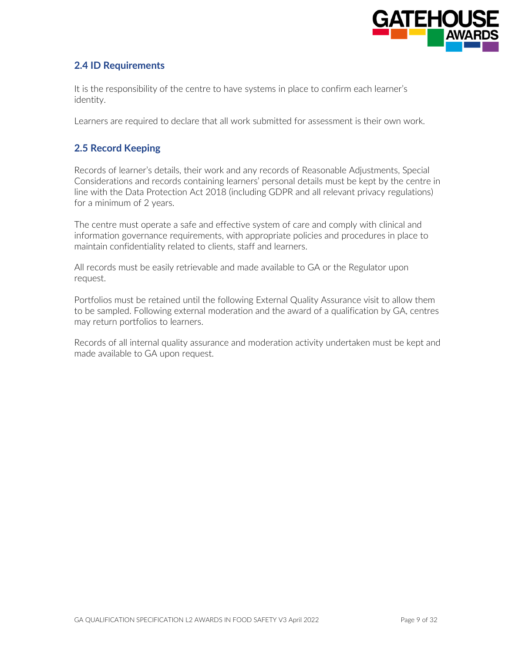

## **2.4 ID Requirements**

It is the responsibility of the centre to have systems in place to confirm each learner's identity.

Learners are required to declare that all work submitted for assessment is their own work.

#### **2.5 Record Keeping**

Records of learner's details, their work and any records of Reasonable Adjustments, Special Considerations and records containing learners' personal details must be kept by the centre in line with the Data Protection Act 2018 (including GDPR and all relevant privacy regulations) for a minimum of 2 years.

The centre must operate a safe and effective system of care and comply with clinical and information governance requirements, with appropriate policies and procedures in place to maintain confidentiality related to clients, staff and learners.

All records must be easily retrievable and made available to GA or the Regulator upon request.

Portfolios must be retained until the following External Quality Assurance visit to allow them to be sampled. Following external moderation and the award of a qualification by GA, centres may return portfolios to learners.

Records of all internal quality assurance and moderation activity undertaken must be kept and made available to GA upon request.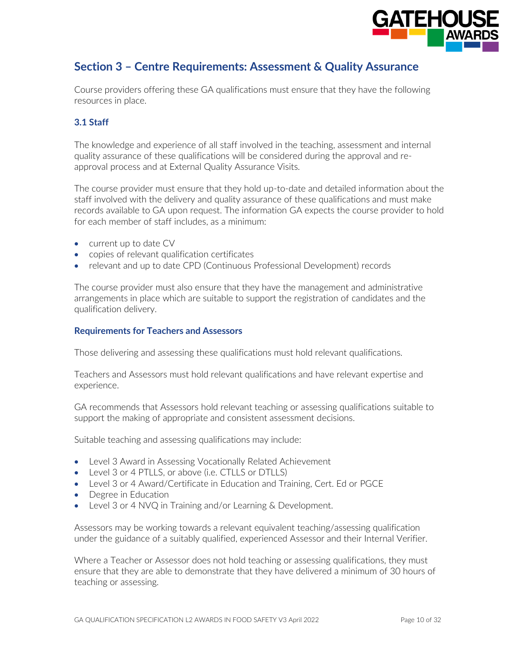

# **Section 3 – Centre Requirements: Assessment & Quality Assurance**

Course providers offering these GA qualifications must ensure that they have the following resources in place.

#### **3.1 Staff**

The knowledge and experience of all staff involved in the teaching, assessment and internal quality assurance of these qualifications will be considered during the approval and reapproval process and at External Quality Assurance Visits.

The course provider must ensure that they hold up-to-date and detailed information about the staff involved with the delivery and quality assurance of these qualifications and must make records available to GA upon request. The information GA expects the course provider to hold for each member of staff includes, as a minimum:

- current up to date CV
- copies of relevant qualification certificates
- relevant and up to date CPD (Continuous Professional Development) records

The course provider must also ensure that they have the management and administrative arrangements in place which are suitable to support the registration of candidates and the qualification delivery.

#### **Requirements for Teachers and Assessors**

Those delivering and assessing these qualifications must hold relevant qualifications.

Teachers and Assessors must hold relevant qualifications and have relevant expertise and experience.

GA recommends that Assessors hold relevant teaching or assessing qualifications suitable to support the making of appropriate and consistent assessment decisions.

Suitable teaching and assessing qualifications may include:

- Level 3 Award in Assessing Vocationally Related Achievement
- Level 3 or 4 PTLLS, or above (i.e. CTLLS or DTLLS)
- Level 3 or 4 Award/Certificate in Education and Training, Cert. Ed or PGCE
- Degree in Education
- Level 3 or 4 NVQ in Training and/or Learning & Development.

Assessors may be working towards a relevant equivalent teaching/assessing qualification under the guidance of a suitably qualified, experienced Assessor and their Internal Verifier.

Where a Teacher or Assessor does not hold teaching or assessing qualifications, they must ensure that they are able to demonstrate that they have delivered a minimum of 30 hours of teaching or assessing.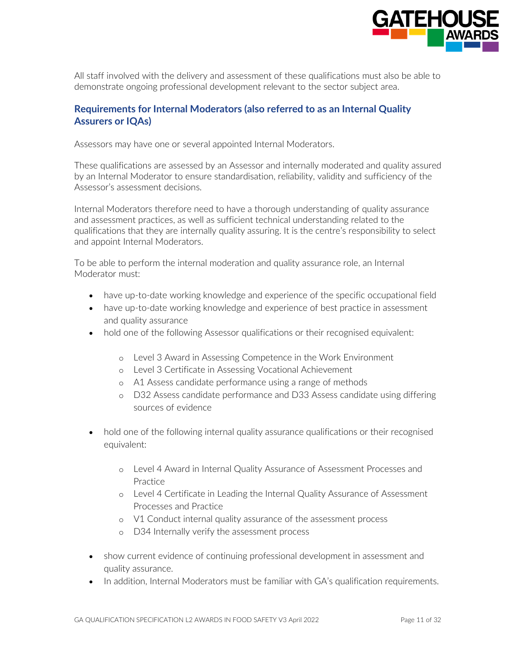

All staff involved with the delivery and assessment of these qualifications must also be able to demonstrate ongoing professional development relevant to the sector subject area.

#### **Requirements for Internal Moderators (also referred to as an Internal Quality Assurers or IQAs)**

Assessors may have one or several appointed Internal Moderators.

These qualifications are assessed by an Assessor and internally moderated and quality assured by an Internal Moderator to ensure standardisation, reliability, validity and sufficiency of the Assessor's assessment decisions.

Internal Moderators therefore need to have a thorough understanding of quality assurance and assessment practices, as well as sufficient technical understanding related to the qualifications that they are internally quality assuring. It is the centre's responsibility to select and appoint Internal Moderators.

To be able to perform the internal moderation and quality assurance role, an Internal Moderator must:

- have up-to-date working knowledge and experience of the specific occupational field
- have up-to-date working knowledge and experience of best practice in assessment and quality assurance
- hold one of the following Assessor qualifications or their recognised equivalent:
	- o Level 3 Award in Assessing Competence in the Work Environment
	- o Level 3 Certificate in Assessing Vocational Achievement
	- o A1 Assess candidate performance using a range of methods
	- o D32 Assess candidate performance and D33 Assess candidate using differing sources of evidence
- hold one of the following internal quality assurance qualifications or their recognised equivalent:
	- o Level 4 Award in Internal Quality Assurance of Assessment Processes and Practice
	- o Level 4 Certificate in Leading the Internal Quality Assurance of Assessment Processes and Practice
	- o V1 Conduct internal quality assurance of the assessment process
	- o D34 Internally verify the assessment process
- show current evidence of continuing professional development in assessment and quality assurance.
- In addition, Internal Moderators must be familiar with GA's qualification requirements.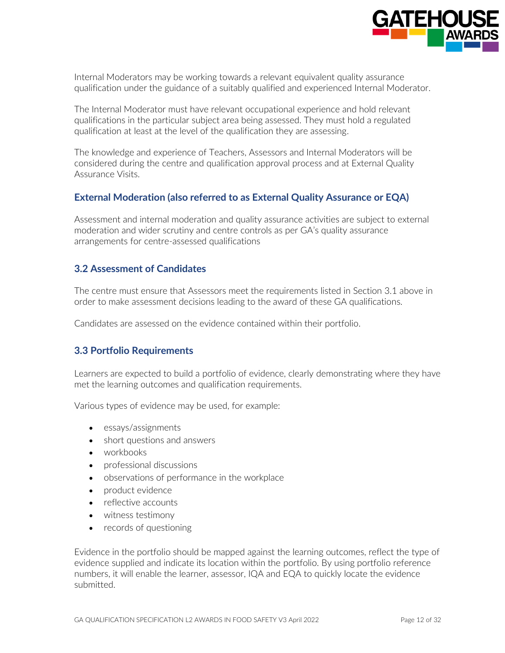

Internal Moderators may be working towards a relevant equivalent quality assurance qualification under the guidance of a suitably qualified and experienced Internal Moderator.

The Internal Moderator must have relevant occupational experience and hold relevant qualifications in the particular subject area being assessed. They must hold a regulated qualification at least at the level of the qualification they are assessing.

The knowledge and experience of Teachers, Assessors and Internal Moderators will be considered during the centre and qualification approval process and at External Quality Assurance Visits.

#### **External Moderation (also referred to as External Quality Assurance or EQA)**

Assessment and internal moderation and quality assurance activities are subject to external moderation and wider scrutiny and centre controls as per GA's quality assurance arrangements for centre-assessed qualifications

#### **3.2 Assessment of Candidates**

The centre must ensure that Assessors meet the requirements listed in Section 3.1 above in order to make assessment decisions leading to the award of these GA qualifications.

Candidates are assessed on the evidence contained within their portfolio.

#### **3.3 Portfolio Requirements**

Learners are expected to build a portfolio of evidence, clearly demonstrating where they have met the learning outcomes and qualification requirements.

Various types of evidence may be used, for example:

- essays/assignments
- short questions and answers
- workbooks
- professional discussions
- observations of performance in the workplace
- product evidence
- reflective accounts
- witness testimony
- records of questioning

Evidence in the portfolio should be mapped against the learning outcomes, reflect the type of evidence supplied and indicate its location within the portfolio. By using portfolio reference numbers, it will enable the learner, assessor, IQA and EQA to quickly locate the evidence submitted.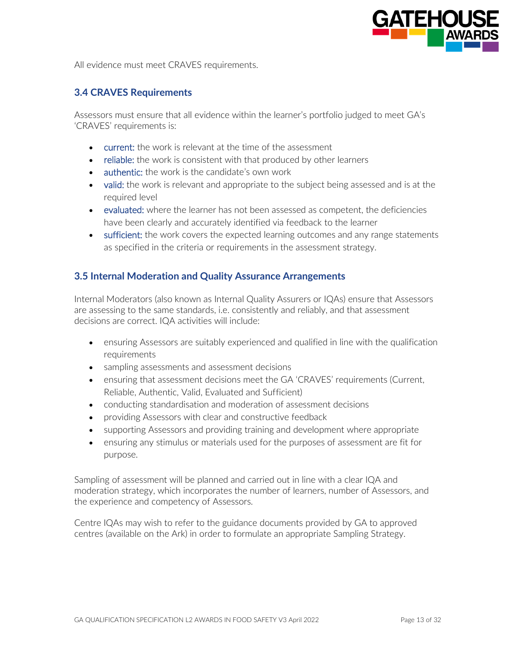

All evidence must meet CRAVFS requirements.

#### **3.4 CRAVES Requirements**

Assessors must ensure that all evidence within the learner's portfolio judged to meet GA's 'CRAVES' requirements is:

- current: the work is relevant at the time of the assessment
- reliable: the work is consistent with that produced by other learners
- authentic: the work is the candidate's own work
- valid: the work is relevant and appropriate to the subject being assessed and is at the required level
- evaluated: where the learner has not been assessed as competent, the deficiencies have been clearly and accurately identified via feedback to the learner
- sufficient: the work covers the expected learning outcomes and any range statements as specified in the criteria or requirements in the assessment strategy.

#### **3.5 Internal Moderation and Quality Assurance Arrangements**

Internal Moderators (also known as Internal Quality Assurers or IQAs) ensure that Assessors are assessing to the same standards, i.e. consistently and reliably, and that assessment decisions are correct. IQA activities will include:

- ensuring Assessors are suitably experienced and qualified in line with the qualification requirements
- sampling assessments and assessment decisions
- ensuring that assessment decisions meet the GA 'CRAVES' requirements (Current, Reliable, Authentic, Valid, Evaluated and Sufficient)
- conducting standardisation and moderation of assessment decisions
- providing Assessors with clear and constructive feedback
- supporting Assessors and providing training and development where appropriate
- ensuring any stimulus or materials used for the purposes of assessment are fit for purpose.

Sampling of assessment will be planned and carried out in line with a clear IQA and moderation strategy, which incorporates the number of learners, number of Assessors, and the experience and competency of Assessors.

Centre IQAs may wish to refer to the guidance documents provided by GA to approved centres (available on the Ark) in order to formulate an appropriate Sampling Strategy.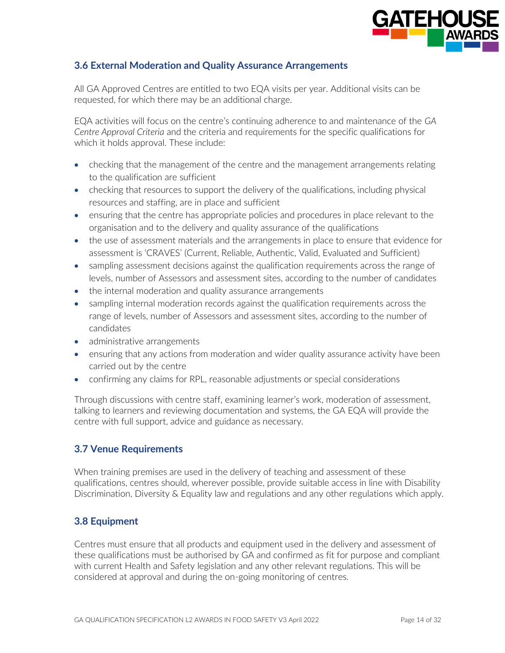

## **3.6 External Moderation and Quality Assurance Arrangements**

All GA Approved Centres are entitled to two EQA visits per year. Additional visits can be requested, for which there may be an additional charge.

EQA activities will focus on the centre's continuing adherence to and maintenance of the *GA Centre Approval Criteria* and the criteria and requirements for the specific qualifications for which it holds approval. These include:

- checking that the management of the centre and the management arrangements relating to the qualification are sufficient
- checking that resources to support the delivery of the qualifications, including physical resources and staffing, are in place and sufficient
- ensuring that the centre has appropriate policies and procedures in place relevant to the organisation and to the delivery and quality assurance of the qualifications
- the use of assessment materials and the arrangements in place to ensure that evidence for assessment is 'CRAVES' (Current, Reliable, Authentic, Valid, Evaluated and Sufficient)
- sampling assessment decisions against the qualification requirements across the range of levels, number of Assessors and assessment sites, according to the number of candidates
- the internal moderation and quality assurance arrangements
- sampling internal moderation records against the qualification requirements across the range of levels, number of Assessors and assessment sites, according to the number of candidates
- administrative arrangements
- ensuring that any actions from moderation and wider quality assurance activity have been carried out by the centre
- confirming any claims for RPL, reasonable adjustments or special considerations

Through discussions with centre staff, examining learner's work, moderation of assessment, talking to learners and reviewing documentation and systems, the GA EQA will provide the centre with full support, advice and guidance as necessary.

#### **3.7 Venue Requirements**

When training premises are used in the delivery of teaching and assessment of these qualifications, centres should, wherever possible, provide suitable access in line with Disability Discrimination, Diversity & Equality law and regulations and any other regulations which apply.

#### **3.8 Equipment**

Centres must ensure that all products and equipment used in the delivery and assessment of these qualifications must be authorised by GA and confirmed as fit for purpose and compliant with current Health and Safety legislation and any other relevant regulations. This will be considered at approval and during the on-going monitoring of centres.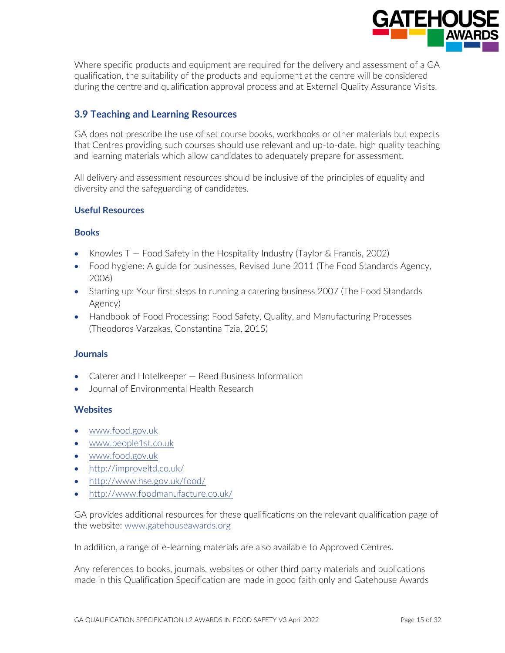

Where specific products and equipment are required for the delivery and assessment of a GA qualification, the suitability of the products and equipment at the centre will be considered during the centre and qualification approval process and at External Quality Assurance Visits.

## **3.9 Teaching and Learning Resources**

GA does not prescribe the use of set course books, workbooks or other materials but expects that Centres providing such courses should use relevant and up-to-date, high quality teaching and learning materials which allow candidates to adequately prepare for assessment.

All delivery and assessment resources should be inclusive of the principles of equality and diversity and the safeguarding of candidates.

#### **Useful Resources**

#### **Books**

- Knowles T Food Safety in the Hospitality Industry (Taylor & Francis, 2002)
- Food hygiene: A guide for businesses, Revised June 2011 (The Food Standards Agency, 2006)
- Starting up: Your first steps to running a catering business 2007 (The Food Standards Agency)
- Handbook of Food Processing: Food Safety, Quality, and Manufacturing Processes (Theodoros Varzakas, Constantina Tzia, 2015)

#### **Journals**

- Caterer and Hotelkeeper Reed Business Information
- Journal of Environmental Health Research

#### **Websites**

- [www.food.gov.uk](http://www.food.gov.uk/)
- [www.people1st.co.uk](http://www.people1st.co.uk/)
- [www.food.gov.uk](http://www.food.gov.uk/)
- <http://improveltd.co.uk/>
- <http://www.hse.gov.uk/food/>
- <http://www.foodmanufacture.co.uk/>

GA provides additional resources for these qualifications on the relevant qualification page of the website: [www.gatehouseawards.org](http://www.gatehouseawards.org/) 

In addition, a range of e-learning materials are also available to Approved Centres.

Any references to books, journals, websites or other third party materials and publications made in this Qualification Specification are made in good faith only and Gatehouse Awards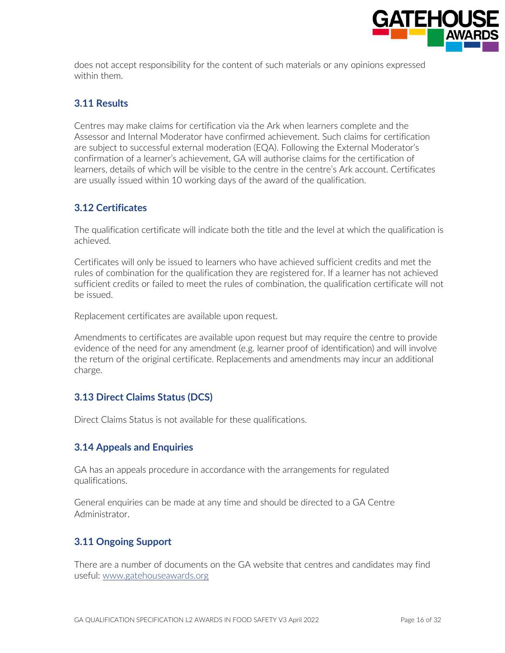

does not accept responsibility for the content of such materials or any opinions expressed within them.

## **3.11 Results**

Centres may make claims for certification via the Ark when learners complete and the Assessor and Internal Moderator have confirmed achievement. Such claims for certification are subject to successful external moderation (EQA). Following the External Moderator's confirmation of a learner's achievement, GA will authorise claims for the certification of learners, details of which will be visible to the centre in the centre's Ark account. Certificates are usually issued within 10 working days of the award of the qualification.

#### **3.12 Certificates**

The qualification certificate will indicate both the title and the level at which the qualification is achieved.

Certificates will only be issued to learners who have achieved sufficient credits and met the rules of combination for the qualification they are registered for. If a learner has not achieved sufficient credits or failed to meet the rules of combination, the qualification certificate will not be issued.

Replacement certificates are available upon request.

Amendments to certificates are available upon request but may require the centre to provide evidence of the need for any amendment (e.g. learner proof of identification) and will involve the return of the original certificate. Replacements and amendments may incur an additional charge.

#### **3.13 Direct Claims Status (DCS)**

Direct Claims Status is not available for these qualifications.

#### **3.14 Appeals and Enquiries**

GA has an appeals procedure in accordance with the arrangements for regulated qualifications.

General enquiries can be made at any time and should be directed to a GA Centre Administrator.

## **3.11 Ongoing Support**

There are a number of documents on the GA website that centres and candidates may find useful: [www.gatehouseawards.org](http://www.gatehouseawards.org/)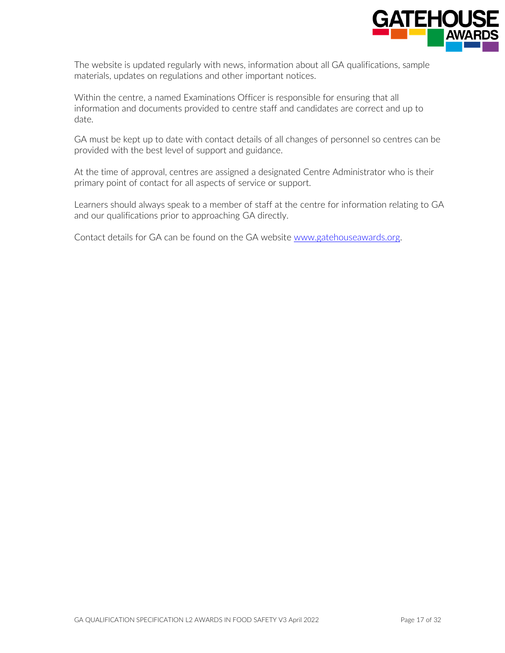

The website is updated regularly with news, information about all GA qualifications, sample materials, updates on regulations and other important notices.

Within the centre, a named Examinations Officer is responsible for ensuring that all information and documents provided to centre staff and candidates are correct and up to date.

GA must be kept up to date with contact details of all changes of personnel so centres can be provided with the best level of support and guidance.

At the time of approval, centres are assigned a designated Centre Administrator who is their primary point of contact for all aspects of service or support.

Learners should always speak to a member of staff at the centre for information relating to GA and our qualifications prior to approaching GA directly.

Contact details for GA can be found on the GA website [www.gatehouseawards.org.](http://www.gatehouseawards.org/)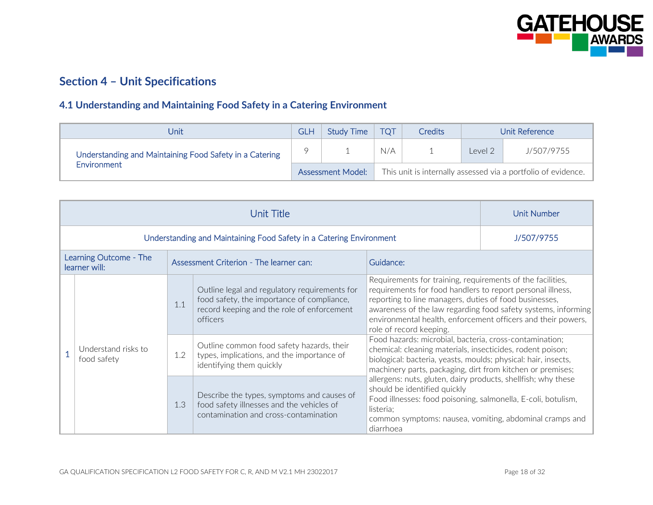

# **Section 4 – Unit Specifications**

## **4.1 Understanding and Maintaining Food Safety in a Catering Environment**

| Unit                                                    | GLH | <b>Study Time</b>        | <b>TOT</b> | <b>Credits</b> |         | Unit Reference                                                |
|---------------------------------------------------------|-----|--------------------------|------------|----------------|---------|---------------------------------------------------------------|
| Understanding and Maintaining Food Safety in a Catering |     |                          | N/A        |                | Level 2 | J/507/9755                                                    |
| Environment                                             |     | <b>Assessment Model:</b> |            |                |         | This unit is internally assessed via a portfolio of evidence. |

|                                         | <b>Unit Number</b>                                                                                                                      |                                                                                                                                                       |                                                                                                                                                                                                                                                                                                                                                |            |  |
|-----------------------------------------|-----------------------------------------------------------------------------------------------------------------------------------------|-------------------------------------------------------------------------------------------------------------------------------------------------------|------------------------------------------------------------------------------------------------------------------------------------------------------------------------------------------------------------------------------------------------------------------------------------------------------------------------------------------------|------------|--|
|                                         |                                                                                                                                         | Understanding and Maintaining Food Safety in a Catering Environment                                                                                   |                                                                                                                                                                                                                                                                                                                                                | J/507/9755 |  |
| Learning Outcome - The<br>learner will: |                                                                                                                                         | Assessment Criterion - The learner can:                                                                                                               | Guidance:                                                                                                                                                                                                                                                                                                                                      |            |  |
|                                         | 1.1                                                                                                                                     | Outline legal and regulatory requirements for<br>food safety, the importance of compliance,<br>record keeping and the role of enforcement<br>officers | Requirements for training, requirements of the facilities,<br>requirements for food handlers to report personal illness,<br>reporting to line managers, duties of food businesses,<br>awareness of the law regarding food safety systems, informing<br>environmental health, enforcement officers and their powers,<br>role of record keeping. |            |  |
| Understand risks to<br>food safety      | 1.2                                                                                                                                     | Outline common food safety hazards, their<br>types, implications, and the importance of<br>identifying them quickly                                   | Food hazards: microbial, bacteria, cross-contamination;<br>chemical: cleaning materials, insecticides, rodent poison;<br>biological: bacteria, yeasts, moulds; physical: hair, insects,<br>machinery parts, packaging, dirt from kitchen or premises;                                                                                          |            |  |
|                                         | Describe the types, symptoms and causes of<br>1.3<br>food safety illnesses and the vehicles of<br>contamination and cross-contamination |                                                                                                                                                       | allergens: nuts, gluten, dairy products, shellfish; why these<br>should be identified quickly<br>Food illnesses: food poisoning, salmonella, E-coli, botulism,<br>listeria;<br>common symptoms: nausea, vomiting, abdominal cramps and<br>diarrhoea                                                                                            |            |  |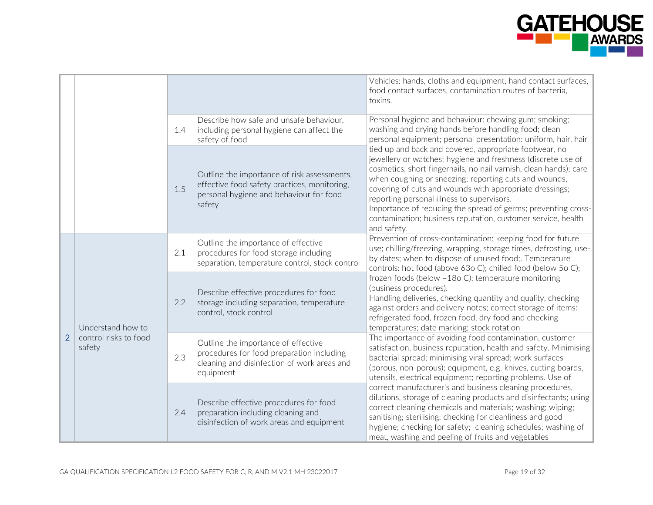

|                |                                                      |     |                                                                                                                                                  | Vehicles: hands, cloths and equipment, hand contact surfaces,<br>food contact surfaces, contamination routes of bacteria,<br>toxins.                                                                                                                                                                                                                                                                                                                                                                          |
|----------------|------------------------------------------------------|-----|--------------------------------------------------------------------------------------------------------------------------------------------------|---------------------------------------------------------------------------------------------------------------------------------------------------------------------------------------------------------------------------------------------------------------------------------------------------------------------------------------------------------------------------------------------------------------------------------------------------------------------------------------------------------------|
|                |                                                      | 1.4 | Describe how safe and unsafe behaviour,<br>including personal hygiene can affect the<br>safety of food                                           | Personal hygiene and behaviour: chewing gum; smoking;<br>washing and drying hands before handling food; clean<br>personal equipment; personal presentation: uniform, hair, hair                                                                                                                                                                                                                                                                                                                               |
|                |                                                      | 1.5 | Outline the importance of risk assessments,<br>effective food safety practices, monitoring,<br>personal hygiene and behaviour for food<br>safety | tied up and back and covered, appropriate footwear, no<br>jewellery or watches; hygiene and freshness (discrete use of<br>cosmetics, short fingernails, no nail varnish, clean hands); care<br>when coughing or sneezing; reporting cuts and wounds,<br>covering of cuts and wounds with appropriate dressings;<br>reporting personal illness to supervisors.<br>Importance of reducing the spread of germs; preventing cross-<br>contamination; business reputation, customer service, health<br>and safety. |
| $\overline{2}$ | Understand how to<br>control risks to food<br>safety | 2.1 | Outline the importance of effective<br>procedures for food storage including<br>separation, temperature control, stock control                   | Prevention of cross-contamination; keeping food for future<br>use; chilling/freezing, wrapping, storage times, defrosting, use-<br>by dates; when to dispose of unused food;. Temperature<br>controls: hot food (above 63o C); chilled food (below 5o C);                                                                                                                                                                                                                                                     |
|                |                                                      | 2.2 | Describe effective procedures for food<br>storage including separation, temperature<br>control, stock control                                    | frozen foods (below -18o C); temperature monitoring<br>(business procedures).<br>Handling deliveries, checking quantity and quality, checking<br>against orders and delivery notes; correct storage of items:<br>refrigerated food, frozen food, dry food and checking<br>temperatures; date marking; stock rotation                                                                                                                                                                                          |
|                |                                                      | 2.3 | Outline the importance of effective<br>procedures for food preparation including<br>cleaning and disinfection of work areas and<br>equipment     | The importance of avoiding food contamination, customer<br>satisfaction, business reputation, health and safety. Minimising<br>bacterial spread; minimising viral spread; work surfaces<br>(porous, non-porous); equipment, e.g. knives, cutting boards,<br>utensils, electrical equipment; reporting problems. Use of                                                                                                                                                                                        |
|                |                                                      | 2.4 | Describe effective procedures for food<br>preparation including cleaning and<br>disinfection of work areas and equipment                         | correct manufacturer's and business cleaning procedures,<br>dilutions, storage of cleaning products and disinfectants; using<br>correct cleaning chemicals and materials; washing; wiping;<br>sanitising; sterilising; checking for cleanliness and good<br>hygiene; checking for safety; cleaning schedules; washing of<br>meat, washing and peeling of fruits and vegetables                                                                                                                                |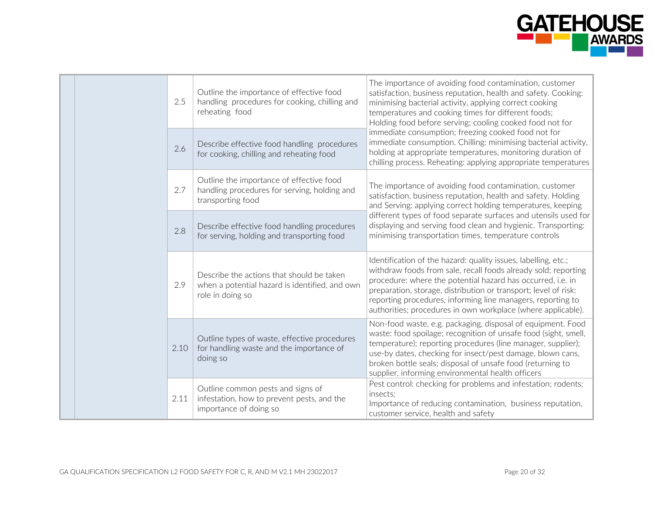

| 2.5  | Outline the importance of effective food<br>handling procedures for cooking, chilling and<br>reheating food     | The importance of avoiding food contamination, customer<br>satisfaction, business reputation, health and safety. Cooking:<br>minimising bacterial activity, applying correct cooking<br>temperatures and cooking times for different foods;<br>Holding food before serving; cooling cooked food not for                                                                                           |
|------|-----------------------------------------------------------------------------------------------------------------|---------------------------------------------------------------------------------------------------------------------------------------------------------------------------------------------------------------------------------------------------------------------------------------------------------------------------------------------------------------------------------------------------|
| 2.6  | Describe effective food handling procedures<br>for cooking, chilling and reheating food                         | immediate consumption; freezing cooked food not for<br>immediate consumption. Chilling: minimising bacterial activity,<br>holding at appropriate temperatures, monitoring duration of<br>chilling process. Reheating: applying appropriate temperatures                                                                                                                                           |
| 2.7  | Outline the importance of effective food<br>handling procedures for serving, holding and<br>transporting food   | The importance of avoiding food contamination, customer<br>satisfaction, business reputation, health and safety. Holding<br>and Serving: applying correct holding temperatures, keeping                                                                                                                                                                                                           |
| 2.8  | Describe effective food handling procedures<br>for serving, holding and transporting food                       | different types of food separate surfaces and utensils used for<br>displaying and serving food clean and hygienic. Transporting:<br>minimising transportation times, temperature controls                                                                                                                                                                                                         |
| 2.9  | Describe the actions that should be taken<br>when a potential hazard is identified, and own<br>role in doing so | Identification of the hazard: quality issues, labelling, etc.;<br>withdraw foods from sale, recall foods already sold; reporting<br>procedure: where the potential hazard has occurred, i.e. in<br>preparation, storage, distribution or transport; level of risk:<br>reporting procedures, informing line managers, reporting to<br>authorities; procedures in own workplace (where applicable). |
| 2.10 | Outline types of waste, effective procedures<br>for handling waste and the importance of<br>doing so            | Non-food waste, e.g. packaging, disposal of equipment. Food<br>waste: food spoilage; recognition of unsafe food (sight, smell,<br>temperature); reporting procedures (line manager, supplier);<br>use-by dates, checking for insect/pest damage, blown cans,<br>broken bottle seals; disposal of unsafe food (returning to<br>supplier, informing environmental health officers                   |
| 2.11 | Outline common pests and signs of<br>infestation, how to prevent pests, and the<br>importance of doing so       | Pest control: checking for problems and infestation; rodents;<br>insects;<br>Importance of reducing contamination, business reputation,<br>customer service, health and safety                                                                                                                                                                                                                    |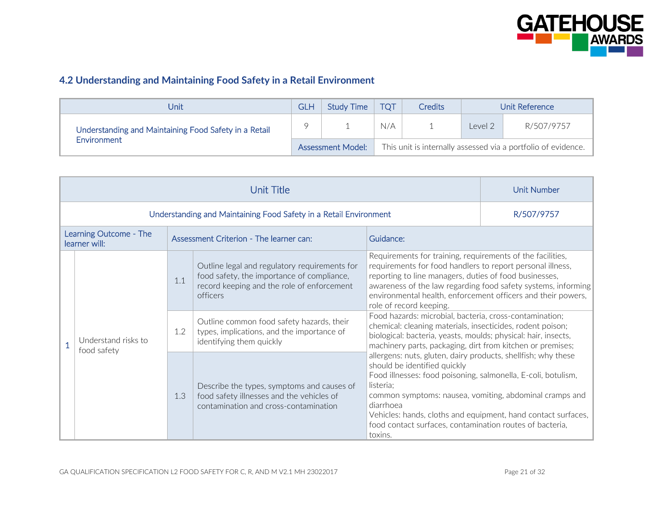

## **4.2 Understanding and Maintaining Food Safety in a Retail Environment**

| Unit                                                  | <b>GLH</b> | Study Time               | <b>TOT</b> | <b>Credits</b> |         | Unit Reference                                                |
|-------------------------------------------------------|------------|--------------------------|------------|----------------|---------|---------------------------------------------------------------|
| Understanding and Maintaining Food Safety in a Retail |            |                          | N/A        |                | Level 2 | R/507/9757                                                    |
| Environment                                           |            | <b>Assessment Model:</b> |            |                |         | This unit is internally assessed via a portfolio of evidence. |

|                                         | Unit Number |                                                                                                                                                       |                                                                                                                                                                                                                                                                                                                                                                                             |            |
|-----------------------------------------|-------------|-------------------------------------------------------------------------------------------------------------------------------------------------------|---------------------------------------------------------------------------------------------------------------------------------------------------------------------------------------------------------------------------------------------------------------------------------------------------------------------------------------------------------------------------------------------|------------|
|                                         |             | Understanding and Maintaining Food Safety in a Retail Environment                                                                                     |                                                                                                                                                                                                                                                                                                                                                                                             | R/507/9757 |
| Learning Outcome - The<br>learner will: |             | Assessment Criterion - The learner can:                                                                                                               | Guidance:                                                                                                                                                                                                                                                                                                                                                                                   |            |
|                                         | 1.1         | Outline legal and regulatory requirements for<br>food safety, the importance of compliance,<br>record keeping and the role of enforcement<br>officers | Requirements for training, requirements of the facilities,<br>requirements for food handlers to report personal illness,<br>reporting to line managers, duties of food businesses,<br>awareness of the law regarding food safety systems, informing<br>environmental health, enforcement officers and their powers,<br>role of record keeping.                                              |            |
| Understand risks to<br>food safety      | 1.2         | Outline common food safety hazards, their<br>types, implications, and the importance of<br>identifying them quickly                                   | Food hazards: microbial, bacteria, cross-contamination;<br>chemical: cleaning materials, insecticides, rodent poison;<br>biological: bacteria, yeasts, moulds; physical: hair, insects,<br>machinery parts, packaging, dirt from kitchen or premises;                                                                                                                                       |            |
|                                         | 1.3         | Describe the types, symptoms and causes of<br>food safety illnesses and the vehicles of<br>contamination and cross-contamination                      | allergens: nuts, gluten, dairy products, shellfish; why these<br>should be identified quickly<br>Food illnesses: food poisoning, salmonella, E-coli, botulism,<br>listeria:<br>common symptoms: nausea, vomiting, abdominal cramps and<br>diarrhoea<br>Vehicles: hands, cloths and equipment, hand contact surfaces,<br>food contact surfaces, contamination routes of bacteria,<br>toxins. |            |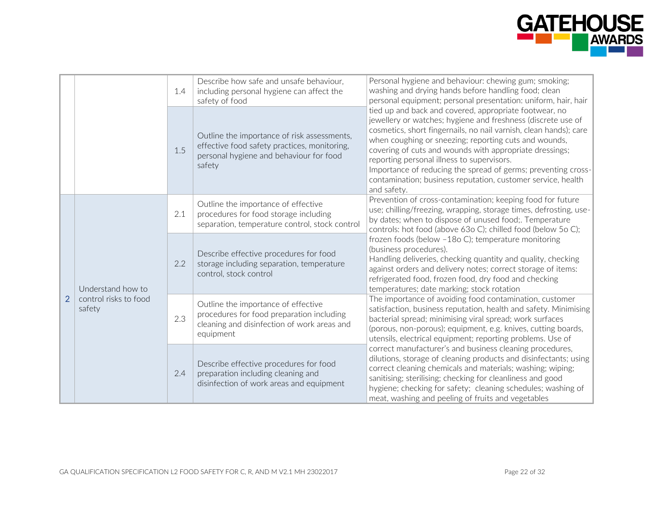

|                |                                 |     | Describe how safe and unsafe behaviour,<br>including personal hygiene can affect the<br>safety of food                                           | Personal hygiene and behaviour: chewing gum; smoking;<br>washing and drying hands before handling food; clean<br>personal equipment; personal presentation: uniform, hair, hair                                                                                                                                                                                                                                                                                                                               |
|----------------|---------------------------------|-----|--------------------------------------------------------------------------------------------------------------------------------------------------|---------------------------------------------------------------------------------------------------------------------------------------------------------------------------------------------------------------------------------------------------------------------------------------------------------------------------------------------------------------------------------------------------------------------------------------------------------------------------------------------------------------|
|                |                                 | 1.5 | Outline the importance of risk assessments,<br>effective food safety practices, monitoring,<br>personal hygiene and behaviour for food<br>safety | tied up and back and covered, appropriate footwear, no<br>jewellery or watches; hygiene and freshness (discrete use of<br>cosmetics, short fingernails, no nail varnish, clean hands); care<br>when coughing or sneezing; reporting cuts and wounds,<br>covering of cuts and wounds with appropriate dressings;<br>reporting personal illness to supervisors.<br>Importance of reducing the spread of germs; preventing cross-<br>contamination; business reputation, customer service, health<br>and safety. |
|                |                                 | 2.1 | Outline the importance of effective<br>procedures for food storage including<br>separation, temperature control, stock control                   | Prevention of cross-contamination; keeping food for future<br>use; chilling/freezing, wrapping, storage times, defrosting, use-<br>by dates; when to dispose of unused food;. Temperature<br>controls: hot food (above 63o C); chilled food (below 5o C);                                                                                                                                                                                                                                                     |
| $\overline{2}$ | Understand how to               | 2.2 | Describe effective procedures for food<br>storage including separation, temperature<br>control, stock control                                    | frozen foods (below -18o C); temperature monitoring<br>(business procedures).<br>Handling deliveries, checking quantity and quality, checking<br>against orders and delivery notes; correct storage of items:<br>refrigerated food, frozen food, dry food and checking<br>temperatures; date marking; stock rotation                                                                                                                                                                                          |
|                | control risks to food<br>safety | 2.3 | Outline the importance of effective<br>procedures for food preparation including<br>cleaning and disinfection of work areas and<br>equipment     | The importance of avoiding food contamination, customer<br>satisfaction, business reputation, health and safety. Minimising<br>bacterial spread; minimising viral spread; work surfaces<br>(porous, non-porous); equipment, e.g. knives, cutting boards,<br>utensils, electrical equipment; reporting problems. Use of                                                                                                                                                                                        |
|                |                                 | 2.4 | Describe effective procedures for food<br>preparation including cleaning and<br>disinfection of work areas and equipment                         | correct manufacturer's and business cleaning procedures,<br>dilutions, storage of cleaning products and disinfectants; using<br>correct cleaning chemicals and materials; washing; wiping;<br>sanitising; sterilising; checking for cleanliness and good<br>hygiene; checking for safety; cleaning schedules; washing of<br>meat, washing and peeling of fruits and vegetables                                                                                                                                |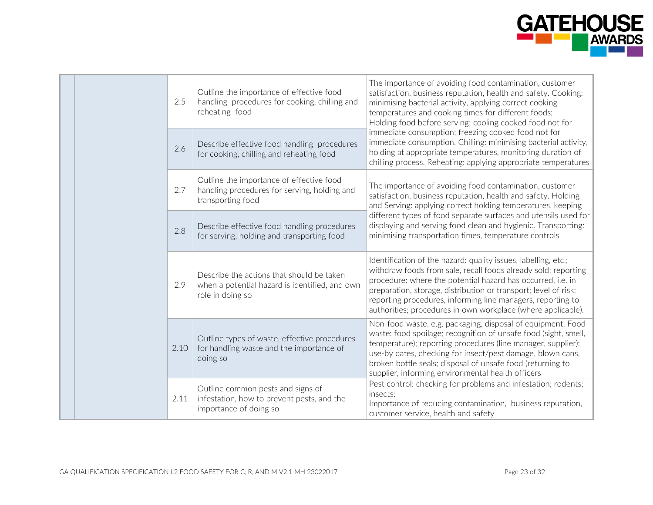

|     |      |                                                                                                                 | The importance of avoiding food contamination, customer                                                                                                                                                                                                                                                                                                                                           |
|-----|------|-----------------------------------------------------------------------------------------------------------------|---------------------------------------------------------------------------------------------------------------------------------------------------------------------------------------------------------------------------------------------------------------------------------------------------------------------------------------------------------------------------------------------------|
|     | 2.5  | Outline the importance of effective food<br>handling procedures for cooking, chilling and<br>reheating food     | satisfaction, business reputation, health and safety. Cooking:<br>minimising bacterial activity, applying correct cooking<br>temperatures and cooking times for different foods;<br>Holding food before serving; cooling cooked food not for                                                                                                                                                      |
|     | 2.6  | Describe effective food handling procedures<br>for cooking, chilling and reheating food                         | immediate consumption; freezing cooked food not for<br>immediate consumption. Chilling: minimising bacterial activity,<br>holding at appropriate temperatures, monitoring duration of<br>chilling process. Reheating: applying appropriate temperatures                                                                                                                                           |
|     | 2.7  | Outline the importance of effective food<br>handling procedures for serving, holding and<br>transporting food   | The importance of avoiding food contamination, customer<br>satisfaction, business reputation, health and safety. Holding<br>and Serving: applying correct holding temperatures, keeping                                                                                                                                                                                                           |
|     | 2.8  | Describe effective food handling procedures<br>for serving, holding and transporting food                       | different types of food separate surfaces and utensils used for<br>displaying and serving food clean and hygienic. Transporting:<br>minimising transportation times, temperature controls                                                                                                                                                                                                         |
| 2.9 |      | Describe the actions that should be taken<br>when a potential hazard is identified, and own<br>role in doing so | Identification of the hazard: quality issues, labelling, etc.;<br>withdraw foods from sale, recall foods already sold; reporting<br>procedure: where the potential hazard has occurred, i.e. in<br>preparation, storage, distribution or transport; level of risk:<br>reporting procedures, informing line managers, reporting to<br>authorities; procedures in own workplace (where applicable). |
|     | 2.10 | Outline types of waste, effective procedures<br>for handling waste and the importance of<br>doing so            | Non-food waste, e.g. packaging, disposal of equipment. Food<br>waste: food spoilage; recognition of unsafe food (sight, smell,<br>temperature); reporting procedures (line manager, supplier);<br>use-by dates, checking for insect/pest damage, blown cans,<br>broken bottle seals; disposal of unsafe food (returning to<br>supplier, informing environmental health officers                   |
|     | 2.11 | Outline common pests and signs of<br>infestation, how to prevent pests, and the<br>importance of doing so       | Pest control: checking for problems and infestation; rodents;<br>insects:<br>Importance of reducing contamination, business reputation,<br>customer service, health and safety                                                                                                                                                                                                                    |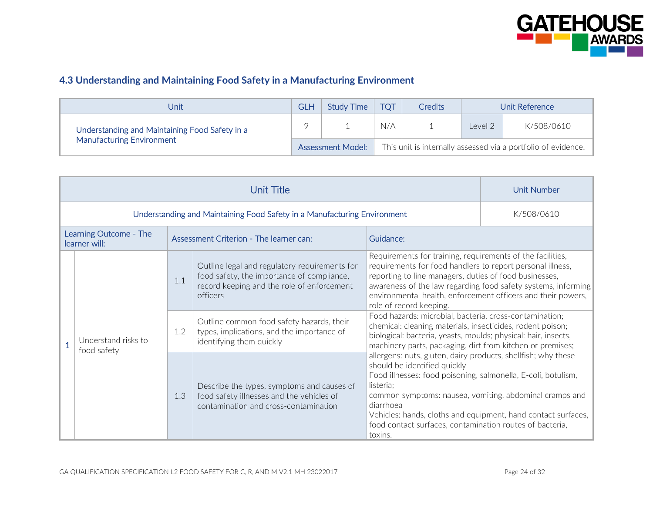

## **4.3 Understanding and Maintaining Food Safety in a Manufacturing Environment**

| Unit                                           |                                                                                           | Study Time | <b>TOT</b> | <b>Credits</b> | Unit Reference |            |
|------------------------------------------------|-------------------------------------------------------------------------------------------|------------|------------|----------------|----------------|------------|
| Understanding and Maintaining Food Safety in a |                                                                                           |            | N/A        |                | Level 2        | K/508/0610 |
| <b>Manufacturing Environment</b>               | This unit is internally assessed via a portfolio of evidence.<br><b>Assessment Model:</b> |            |            |                |                |            |

|                                         |                                                                          | <b>Unit Number</b> |                                                                                                                                                       |                                                                                                                                                                                                                                                                                                                                                                                                                                                                                                                                                                                                                                                                                                                                                                                                                                                                                                                                                                                                        |  |
|-----------------------------------------|--------------------------------------------------------------------------|--------------------|-------------------------------------------------------------------------------------------------------------------------------------------------------|--------------------------------------------------------------------------------------------------------------------------------------------------------------------------------------------------------------------------------------------------------------------------------------------------------------------------------------------------------------------------------------------------------------------------------------------------------------------------------------------------------------------------------------------------------------------------------------------------------------------------------------------------------------------------------------------------------------------------------------------------------------------------------------------------------------------------------------------------------------------------------------------------------------------------------------------------------------------------------------------------------|--|
|                                         | Understanding and Maintaining Food Safety in a Manufacturing Environment | K/508/0610         |                                                                                                                                                       |                                                                                                                                                                                                                                                                                                                                                                                                                                                                                                                                                                                                                                                                                                                                                                                                                                                                                                                                                                                                        |  |
| Learning Outcome - The<br>learner will: |                                                                          |                    | Assessment Criterion - The learner can:                                                                                                               | Guidance:                                                                                                                                                                                                                                                                                                                                                                                                                                                                                                                                                                                                                                                                                                                                                                                                                                                                                                                                                                                              |  |
|                                         | Understand risks to<br>food safety                                       | 1.1                | Outline legal and regulatory requirements for<br>food safety, the importance of compliance,<br>record keeping and the role of enforcement<br>officers | Requirements for training, requirements of the facilities,<br>requirements for food handlers to report personal illness,<br>reporting to line managers, duties of food businesses,<br>awareness of the law regarding food safety systems, informing<br>environmental health, enforcement officers and their powers,<br>role of record keeping.<br>Food hazards: microbial, bacteria, cross-contamination;<br>chemical: cleaning materials, insecticides, rodent poison;<br>biological: bacteria, yeasts, moulds; physical: hair, insects,<br>machinery parts, packaging, dirt from kitchen or premises;<br>allergens: nuts, gluten, dairy products, shellfish; why these<br>should be identified quickly<br>Food illnesses: food poisoning, salmonella, E-coli, botulism,<br>listeria:<br>common symptoms: nausea, vomiting, abdominal cramps and<br>diarrhoea<br>Vehicles: hands, cloths and equipment, hand contact surfaces,<br>food contact surfaces, contamination routes of bacteria,<br>toxins. |  |
|                                         |                                                                          | 1.2                | Outline common food safety hazards, their<br>types, implications, and the importance of<br>identifying them quickly                                   |                                                                                                                                                                                                                                                                                                                                                                                                                                                                                                                                                                                                                                                                                                                                                                                                                                                                                                                                                                                                        |  |
|                                         |                                                                          | 1.3                | Describe the types, symptoms and causes of<br>food safety illnesses and the vehicles of<br>contamination and cross-contamination                      |                                                                                                                                                                                                                                                                                                                                                                                                                                                                                                                                                                                                                                                                                                                                                                                                                                                                                                                                                                                                        |  |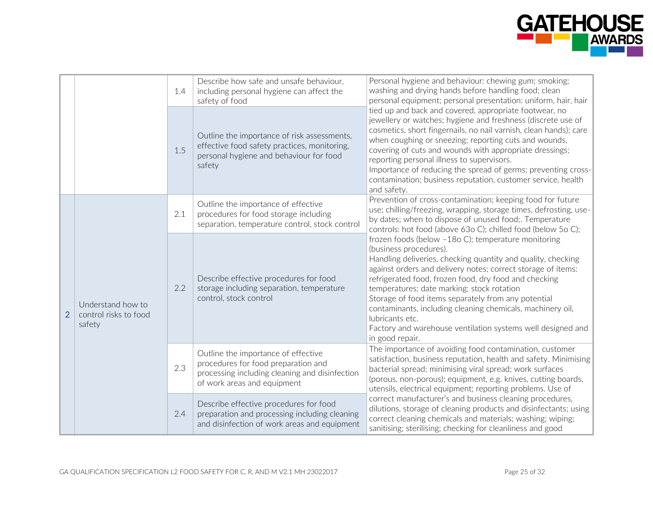

|                |                                                      | 1.4 | Describe how safe and unsafe behaviour,<br>including personal hygiene can affect the<br>safety of food                                                      | Personal hygiene and behaviour: chewing gum; smoking;<br>washing and drying hands before handling food; clean<br>personal equipment; personal presentation: uniform, hair, hair                                                                                                                                                                                                                                                                                                                                                                |
|----------------|------------------------------------------------------|-----|-------------------------------------------------------------------------------------------------------------------------------------------------------------|------------------------------------------------------------------------------------------------------------------------------------------------------------------------------------------------------------------------------------------------------------------------------------------------------------------------------------------------------------------------------------------------------------------------------------------------------------------------------------------------------------------------------------------------|
|                |                                                      | 1.5 | Outline the importance of risk assessments,<br>effective food safety practices, monitoring,<br>personal hygiene and behaviour for food<br>safety            | tied up and back and covered, appropriate footwear, no<br>jewellery or watches; hygiene and freshness (discrete use of<br>cosmetics, short fingernails, no nail varnish, clean hands); care<br>when coughing or sneezing; reporting cuts and wounds,<br>covering of cuts and wounds with appropriate dressings;<br>reporting personal illness to supervisors.<br>Importance of reducing the spread of germs; preventing cross-<br>contamination; business reputation, customer service, health<br>and safety.                                  |
| $\overline{2}$ |                                                      | 2.1 | Outline the importance of effective<br>procedures for food storage including<br>separation, temperature control, stock control                              | Prevention of cross-contamination; keeping food for future<br>use; chilling/freezing, wrapping, storage times, defrosting, use-<br>by dates; when to dispose of unused food;. Temperature<br>controls: hot food (above 63o C); chilled food (below 5o C);                                                                                                                                                                                                                                                                                      |
|                | Understand how to<br>control risks to food<br>safety | 2.2 | Describe effective procedures for food<br>storage including separation, temperature<br>control, stock control                                               | frozen foods (below -18o C); temperature monitoring<br>(business procedures).<br>Handling deliveries, checking quantity and quality, checking<br>against orders and delivery notes; correct storage of items:<br>refrigerated food, frozen food, dry food and checking<br>temperatures; date marking; stock rotation<br>Storage of food items separately from any potential<br>contaminants, including cleaning chemicals, machinery oil,<br>lubricants etc.<br>Factory and warehouse ventilation systems well designed and<br>in good repair. |
|                |                                                      | 2.3 | Outline the importance of effective<br>procedures for food preparation and<br>processing including cleaning and disinfection<br>of work areas and equipment | The importance of avoiding food contamination, customer<br>satisfaction, business reputation, health and safety. Minimising<br>bacterial spread; minimising viral spread; work surfaces<br>(porous, non-porous); equipment, e.g. knives, cutting boards,<br>utensils, electrical equipment; reporting problems. Use of                                                                                                                                                                                                                         |
|                |                                                      | 2.4 | Describe effective procedures for food<br>preparation and processing including cleaning<br>and disinfection of work areas and equipment                     | correct manufacturer's and business cleaning procedures,<br>dilutions, storage of cleaning products and disinfectants; using<br>correct cleaning chemicals and materials; washing; wiping;<br>sanitising; sterilising; checking for cleanliness and good                                                                                                                                                                                                                                                                                       |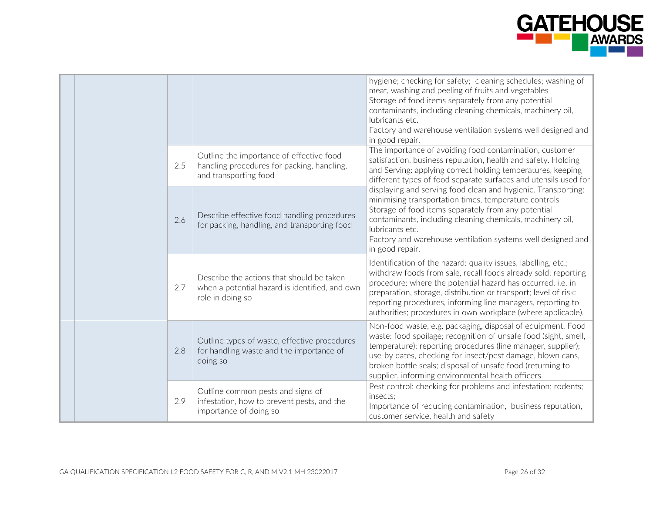

|  |  |     |                                                                                                                 | hygiene; checking for safety; cleaning schedules; washing of<br>meat, washing and peeling of fruits and vegetables<br>Storage of food items separately from any potential<br>contaminants, including cleaning chemicals, machinery oil,<br>lubricants etc.<br>Factory and warehouse ventilation systems well designed and<br>in good repair.                                                      |
|--|--|-----|-----------------------------------------------------------------------------------------------------------------|---------------------------------------------------------------------------------------------------------------------------------------------------------------------------------------------------------------------------------------------------------------------------------------------------------------------------------------------------------------------------------------------------|
|  |  | 2.5 | Outline the importance of effective food<br>handling procedures for packing, handling,<br>and transporting food | The importance of avoiding food contamination, customer<br>satisfaction, business reputation, health and safety. Holding<br>and Serving: applying correct holding temperatures, keeping<br>different types of food separate surfaces and utensils used for                                                                                                                                        |
|  |  | 2.6 | Describe effective food handling procedures<br>for packing, handling, and transporting food                     | displaying and serving food clean and hygienic. Transporting:<br>minimising transportation times, temperature controls<br>Storage of food items separately from any potential<br>contaminants, including cleaning chemicals, machinery oil,<br>lubricants etc.<br>Factory and warehouse ventilation systems well designed and<br>in good repair.                                                  |
|  |  | 2.7 | Describe the actions that should be taken<br>when a potential hazard is identified, and own<br>role in doing so | Identification of the hazard: quality issues, labelling, etc.;<br>withdraw foods from sale, recall foods already sold; reporting<br>procedure: where the potential hazard has occurred, i.e. in<br>preparation, storage, distribution or transport; level of risk:<br>reporting procedures, informing line managers, reporting to<br>authorities; procedures in own workplace (where applicable). |
|  |  | 2.8 | Outline types of waste, effective procedures<br>for handling waste and the importance of<br>doing so            | Non-food waste, e.g. packaging, disposal of equipment. Food<br>waste: food spoilage; recognition of unsafe food (sight, smell,<br>temperature); reporting procedures (line manager, supplier);<br>use-by dates, checking for insect/pest damage, blown cans,<br>broken bottle seals; disposal of unsafe food (returning to<br>supplier, informing environmental health officers                   |
|  |  | 2.9 | Outline common pests and signs of<br>infestation, how to prevent pests, and the<br>importance of doing so       | Pest control: checking for problems and infestation; rodents;<br>insects;<br>Importance of reducing contamination, business reputation,<br>customer service, health and safety                                                                                                                                                                                                                    |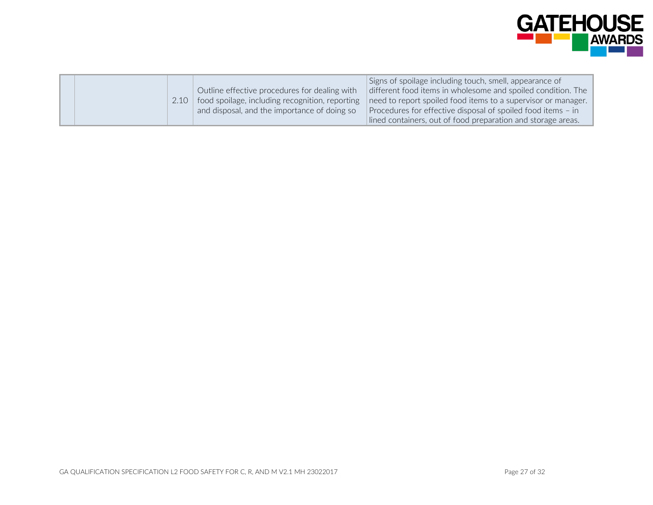

|  | 2.10 | Outline effective procedures for dealing with<br>food spoilage, including recognition, reporting<br>and disposal, and the importance of doing so | Signs of spoilage including touch, smell, appearance of<br>different food items in wholesome and spoiled condition. The<br>need to report spoiled food items to a supervisor or manager.<br>Procedures for effective disposal of spoiled food items - in |
|--|------|--------------------------------------------------------------------------------------------------------------------------------------------------|----------------------------------------------------------------------------------------------------------------------------------------------------------------------------------------------------------------------------------------------------------|
|  |      |                                                                                                                                                  | lined containers, out of food preparation and storage areas.                                                                                                                                                                                             |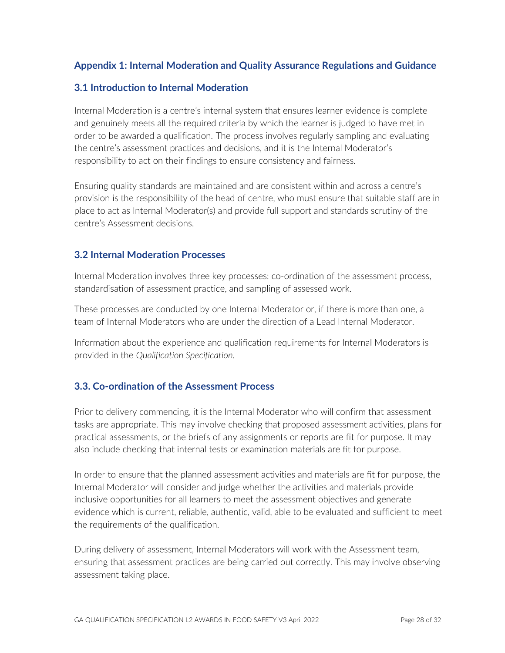## **Appendix 1: Internal Moderation and Quality Assurance Regulations and Guidance**

#### **3.1 Introduction to Internal Moderation**

Internal Moderation is a centre's internal system that ensures learner evidence is complete and genuinely meets all the required criteria by which the learner is judged to have met in order to be awarded a qualification. The process involves regularly sampling and evaluating the centre's assessment practices and decisions, and it is the Internal Moderator's responsibility to act on their findings to ensure consistency and fairness.

Ensuring quality standards are maintained and are consistent within and across a centre's provision is the responsibility of the head of centre, who must ensure that suitable staff are in place to act as Internal Moderator(s) and provide full support and standards scrutiny of the centre's Assessment decisions.

#### **3.2 Internal Moderation Processes**

Internal Moderation involves three key processes: co-ordination of the assessment process, standardisation of assessment practice, and sampling of assessed work.

These processes are conducted by one Internal Moderator or, if there is more than one, a team of Internal Moderators who are under the direction of a Lead Internal Moderator.

Information about the experience and qualification requirements for Internal Moderators is provided in the *Qualification Specification.*

#### **3.3. Co-ordination of the Assessment Process**

Prior to delivery commencing, it is the Internal Moderator who will confirm that assessment tasks are appropriate. This may involve checking that proposed assessment activities, plans for practical assessments, or the briefs of any assignments or reports are fit for purpose. It may also include checking that internal tests or examination materials are fit for purpose.

In order to ensure that the planned assessment activities and materials are fit for purpose, the Internal Moderator will consider and judge whether the activities and materials provide inclusive opportunities for all learners to meet the assessment objectives and generate evidence which is current, reliable, authentic, valid, able to be evaluated and sufficient to meet the requirements of the qualification.

During delivery of assessment, Internal Moderators will work with the Assessment team, ensuring that assessment practices are being carried out correctly. This may involve observing assessment taking place.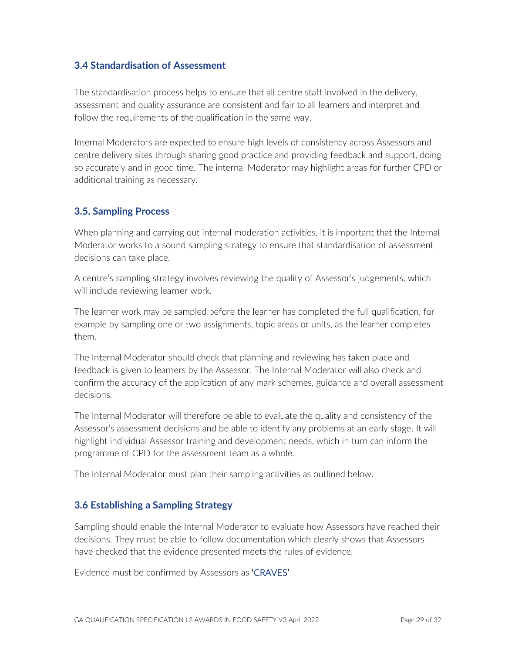#### **3.4 Standardisation of Assessment**

The standardisation process helps to ensure that all centre staff involved in the delivery, assessment and quality assurance are consistent and fair to all learners and interpret and follow the requirements of the qualification in the same way.

Internal Moderators are expected to ensure high levels of consistency across Assessors and centre delivery sites through sharing good practice and providing feedback and support, doing so accurately and in good time. The internal Moderator may highlight areas for further CPD or additional training as necessary.

#### **3.5. Sampling Process**

When planning and carrying out internal moderation activities, it is important that the Internal Moderator works to a sound sampling strategy to ensure that standardisation of assessment decisions can take place.

A centre's sampling strategy involves reviewing the quality of Assessor's judgements, which will include reviewing learner work.

The learner work may be sampled before the learner has completed the full qualification, for example by sampling one or two assignments, topic areas or units, as the learner completes them.

The Internal Moderator should check that planning and reviewing has taken place and feedback is given to learners by the Assessor. The Internal Moderator will also check and confirm the accuracy of the application of any mark schemes, guidance and overall assessment decisions.

The Internal Moderator will therefore be able to evaluate the quality and consistency of the Assessor's assessment decisions and be able to identify any problems at an early stage. It will highlight individual Assessor training and development needs, which in turn can inform the programme of CPD for the assessment team as a whole.

The Internal Moderator must plan their sampling activities as outlined below.

#### **3.6 Establishing a Sampling Strategy**

Sampling should enable the Internal Moderator to evaluate how Assessors have reached their decisions. They must be able to follow documentation which clearly shows that Assessors have checked that the evidence presented meets the rules of evidence.

Evidence must be confirmed by Assessors as 'CRAVES'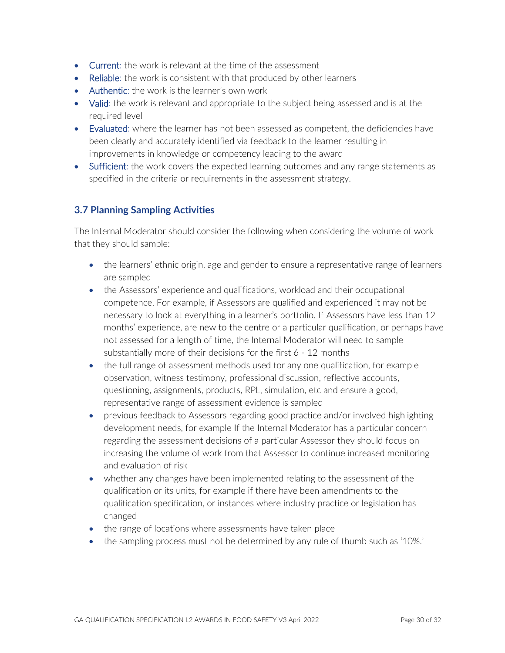- Current: the work is relevant at the time of the assessment
- Reliable: the work is consistent with that produced by other learners
- Authentic: the work is the learner's own work
- Valid: the work is relevant and appropriate to the subject being assessed and is at the required level
- Evaluated: where the learner has not been assessed as competent, the deficiencies have been clearly and accurately identified via feedback to the learner resulting in improvements in knowledge or competency leading to the award
- Sufficient: the work covers the expected learning outcomes and any range statements as specified in the criteria or requirements in the assessment strategy.

## **3.7 Planning Sampling Activities**

The Internal Moderator should consider the following when considering the volume of work that they should sample:

- the learners' ethnic origin, age and gender to ensure a representative range of learners are sampled
- the Assessors' experience and qualifications, workload and their occupational competence. For example, if Assessors are qualified and experienced it may not be necessary to look at everything in a learner's portfolio. If Assessors have less than 12 months' experience, are new to the centre or a particular qualification, or perhaps have not assessed for a length of time, the Internal Moderator will need to sample substantially more of their decisions for the first 6 - 12 months
- the full range of assessment methods used for any one qualification, for example observation, witness testimony, professional discussion, reflective accounts, questioning, assignments, products, RPL, simulation, etc and ensure a good, representative range of assessment evidence is sampled
- previous feedback to Assessors regarding good practice and/or involved highlighting development needs, for example If the Internal Moderator has a particular concern regarding the assessment decisions of a particular Assessor they should focus on increasing the volume of work from that Assessor to continue increased monitoring and evaluation of risk
- whether any changes have been implemented relating to the assessment of the qualification or its units, for example if there have been amendments to the qualification specification, or instances where industry practice or legislation has changed
- the range of locations where assessments have taken place
- the sampling process must not be determined by any rule of thumb such as '10%.'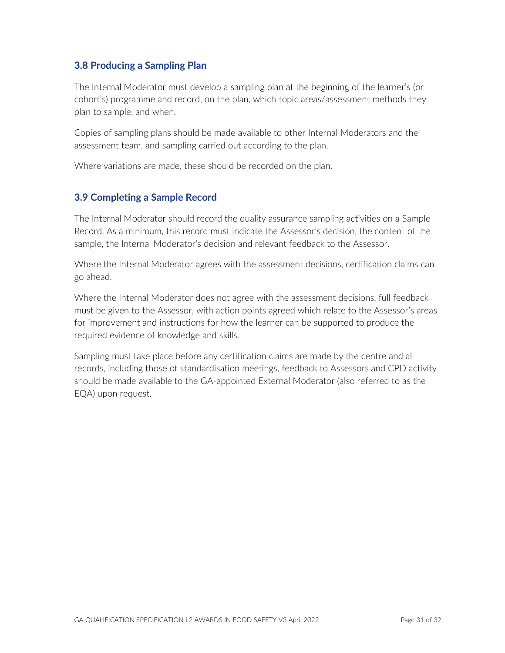## **3.8 Producing a Sampling Plan**

The Internal Moderator must develop a sampling plan at the beginning of the learner's (or cohort's) programme and record, on the plan, which topic areas/assessment methods they plan to sample, and when.

Copies of sampling plans should be made available to other Internal Moderators and the assessment team, and sampling carried out according to the plan.

Where variations are made, these should be recorded on the plan.

## **3.9 Completing a Sample Record**

The Internal Moderator should record the quality assurance sampling activities on a Sample Record. As a minimum, this record must indicate the Assessor's decision, the content of the sample, the Internal Moderator's decision and relevant feedback to the Assessor.

Where the Internal Moderator agrees with the assessment decisions, certification claims can go ahead.

Where the Internal Moderator does not agree with the assessment decisions, full feedback must be given to the Assessor, with action points agreed which relate to the Assessor's areas for improvement and instructions for how the learner can be supported to produce the required evidence of knowledge and skills.

Sampling must take place before any certification claims are made by the centre and all records, including those of standardisation meetings, feedback to Assessors and CPD activity should be made available to the GA-appointed External Moderator (also referred to as the EQA) upon request.